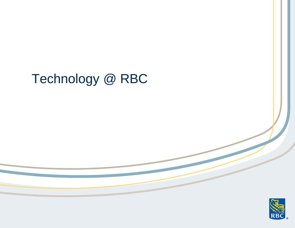# Technology @ RBC

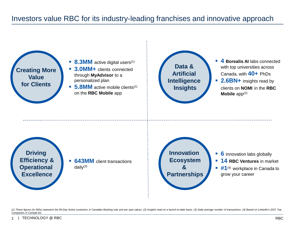# Investors value RBC for its industry-leading franchises and innovative approach



(1) These figures (in 000s) represent the 90-Day Active customers in Canadian Banking only and are spot values. (2) Insights read on a launch-to-date basis. (3) Daily average number of transactions. (4) Based on LinkedIn's *Companies in Canada list.*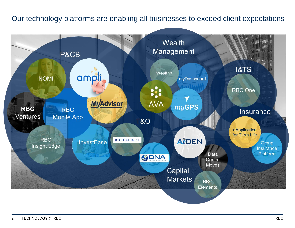#### Our technology platforms are enabling all businesses to exceed client expectations

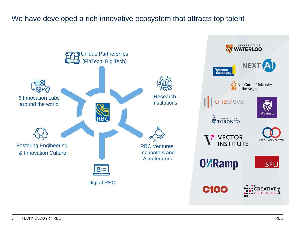#### We have developed a rich innovative ecosystem that attracts top talent

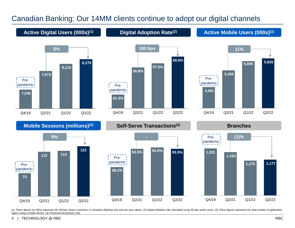## Canadian Banking: Our 14MM clients continue to adopt our digital channels



(1) These figures (in 000s) represent the 90-Day Active customers in Canadian Banking only and are spot values. (2) Digital Adoption rate calculated using 90-day active users. (3) These figures represent the total number o *logins using a mobile device. (4) Financial transactions only.*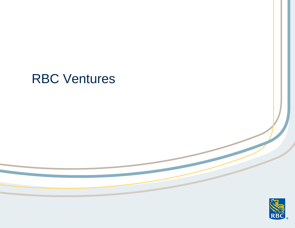# RBC Ventures